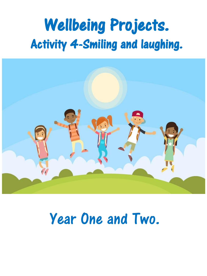# Wellbeing Projects. Activity 4-Smiling and laughing.



# Year One and Two.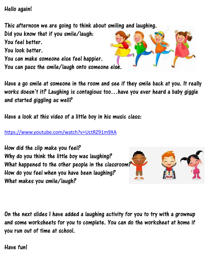### Hello again!

This afternoon we are going to think about smiling and laughing.

Did you know that if you smile/laugh:

You feel better.

You look better.

You can make someone else feel happier.

You can pass the smile/laugh onto someone else.

Have a go smile at someone in the room and see if they smile back at you. It really works doesn't it? Laughing is contagious too…have you ever heard a baby giggle and started giggling as well?

Have a look at this video of a little boy in his music class:

<https://www.youtube.com/watch?v=UctRZ91m9XA>

How did the clip make you feel? Why do you think the little boy was laughing? What happened to the other people in the classroom? How do you feel when you have been laughing? What makes you smile/laugh?

On the next slides I have added a laughing activity for you to try with a grownup and some worksheets for you to complete. You can do the worksheet at home if you run out of time at school.

Have fun!



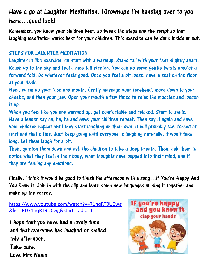### Have a go at Laughter Meditation. (Grownups I'm handing over to you here…good luck!

Remember, you know your children best, so tweak the steps and the script so that laughing meditation works best for your children. This exercise can be done inside or out.

#### STEPS FOR LAUGHTER MEDITATION

Laughter is like exercise, so start with a warmup. Stand tall with your feet slightly apart. Reach up to the sky and feel a nice tall stretch. You can do some gentle twists and/or a forward fold. Do whatever feels good. Once you feel a bit loose, have a seat on the floor at your desk.

Next, warm up your face and mouth. Gently massage your forehead, move down to your cheeks, and then your jaw. Open your mouth a few times to relax the muscles and loosen it up.

When you feel like you are warmed up, get comfortable and relaxed. Start to smile. Have a leader say ha, ha, ha and have your children repeat. Then say it again and have your children repeat until they start laughing on their own. It will probably feel forced at first and that's fine. Just keep going until everyone is laughing naturally, it won't take long. Let them laugh for a bit.

Then, quieten them down and ask the children to take a deep breath. Then, ask them to notice what they feel in their body, what thoughts have popped into their mind, and if they are feeling any emotions.

Finally, I think it would be good to finish the afternoon with a song…If You're Happy And You Know it. Join in with the clip and learn some new languages or sing it together and make up the verses.

```
https://www.youtube.com/watch?v=71hqRT9U0wg
&list=RD71hqRT9U0wg&start_radio=1
```
I hope that you have had a lovely time and that everyone has laughed or smiled this afternoon. Take care. Love Mrs Neale

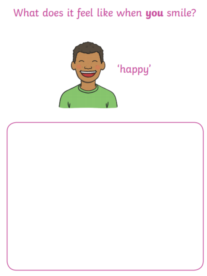## What does it feel like when you smile?